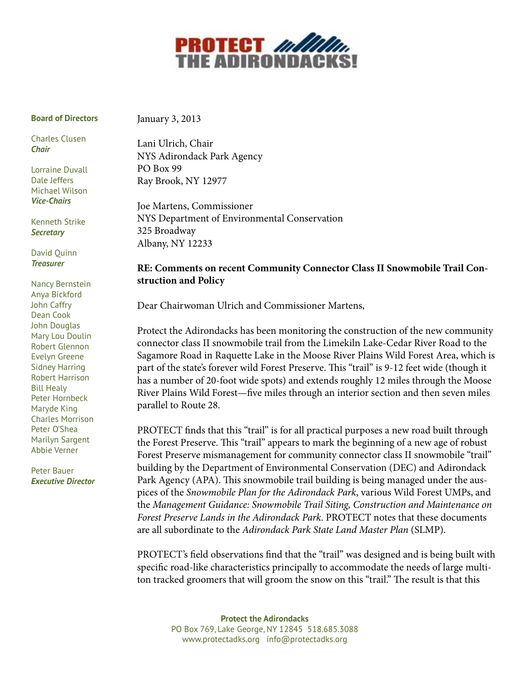

#### **Board of Directors**

January 3, 2013

Charles Clusen *Chair*

Lorraine Duvall Dale Jeffers Michael Wilson *Vice-Chairs*

Kenneth Strike *Secretary*

David Quinn *Treasurer*

Nancy Bernstein Anya Bickford John Caffry Dean Cook John Douglas Mary Lou Doulin Robert Glennon Evelyn Greene Sidney Harring Robert Harrison Bill Healy Peter Hornbeck Maryde King Charles Morrison Peter O'Shea Marilyn Sargent Abbie Verner

Peter Bauer *Executive Director* Lani Ulrich, Chair

NYS Adirondack Park Agency PO Box 99 Ray Brook, NY 12977

Joe Martens, Commissioner NYS Department of Environmental Conservation 325 Broadway Albany, NY 12233

## **RE: Comments on recent Community Connector Class II Snowmobile Trail Construction and Policy**

Dear Chairwoman Ulrich and Commissioner Martens,

Protect the Adirondacks has been monitoring the construction of the new community connector class II snowmobile trail from the Limekiln Lake-Cedar River Road to the Sagamore Road in Raquette Lake in the Moose River Plains Wild Forest Area, which is part of the state's forever wild Forest Preserve. This "trail" is 9-12 feet wide (though it has a number of 20-foot wide spots) and extends roughly 12 miles through the Moose River Plains Wild Forest—five miles through an interior section and then seven miles parallel to Route 28.

PROTECT finds that this "trail" is for all practical purposes a new road built through the Forest Preserve. This "trail" appears to mark the beginning of a new age of robust Forest Preserve mismanagement for community connector class II snowmobile "trail" building by the Department of Environmental Conservation (DEC) and Adirondack Park Agency (APA). This snowmobile trail building is being managed under the auspices of the *Snowmobile Plan for the Adirondack Park*, various Wild Forest UMPs, and the *Management Guidance: Snowmobile Trail Siting, Construction and Maintenance on Forest Preserve Lands in the Adirondack Park*. PROTECT notes that these documents are all subordinate to the *Adirondack Park State Land Master Plan* (SLMP).

PROTECT's field observations find that the "trail" was designed and is being built with specific road-like characteristics principally to accommodate the needs of large multiton tracked groomers that will groom the snow on this "trail." The result is that this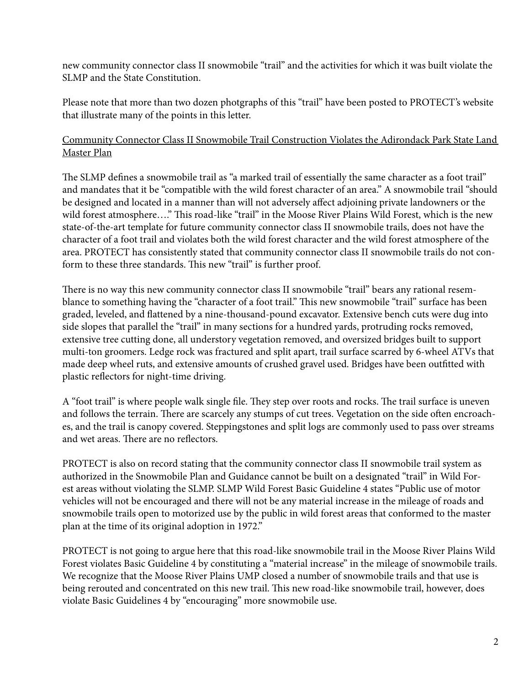new community connector class II snowmobile "trail" and the activities for which it was built violate the SLMP and the State Constitution.

Please note that more than two dozen photgraphs of this "trail" have been posted to PROTECT's website that illustrate many of the points in this letter.

## Community Connector Class II Snowmobile Trail Construction Violates the Adirondack Park State Land Master Plan

The SLMP defines a snowmobile trail as "a marked trail of essentially the same character as a foot trail" and mandates that it be "compatible with the wild forest character of an area." A snowmobile trail "should be designed and located in a manner than will not adversely affect adjoining private landowners or the wild forest atmosphere…." This road-like "trail" in the Moose River Plains Wild Forest, which is the new state-of-the-art template for future community connector class II snowmobile trails, does not have the character of a foot trail and violates both the wild forest character and the wild forest atmosphere of the area. PROTECT has consistently stated that community connector class II snowmobile trails do not conform to these three standards. This new "trail" is further proof.

There is no way this new community connector class II snowmobile "trail" bears any rational resemblance to something having the "character of a foot trail." This new snowmobile "trail" surface has been graded, leveled, and flattened by a nine-thousand-pound excavator. Extensive bench cuts were dug into side slopes that parallel the "trail" in many sections for a hundred yards, protruding rocks removed, extensive tree cutting done, all understory vegetation removed, and oversized bridges built to support multi-ton groomers. Ledge rock was fractured and split apart, trail surface scarred by 6-wheel ATVs that made deep wheel ruts, and extensive amounts of crushed gravel used. Bridges have been outfitted with plastic reflectors for night-time driving.

A "foot trail" is where people walk single file. They step over roots and rocks. The trail surface is uneven and follows the terrain. There are scarcely any stumps of cut trees. Vegetation on the side often encroaches, and the trail is canopy covered. Steppingstones and split logs are commonly used to pass over streams and wet areas. There are no reflectors.

PROTECT is also on record stating that the community connector class II snowmobile trail system as authorized in the Snowmobile Plan and Guidance cannot be built on a designated "trail" in Wild Forest areas without violating the SLMP. SLMP Wild Forest Basic Guideline 4 states "Public use of motor vehicles will not be encouraged and there will not be any material increase in the mileage of roads and snowmobile trails open to motorized use by the public in wild forest areas that conformed to the master plan at the time of its original adoption in 1972."

PROTECT is not going to argue here that this road-like snowmobile trail in the Moose River Plains Wild Forest violates Basic Guideline 4 by constituting a "material increase" in the mileage of snowmobile trails. We recognize that the Moose River Plains UMP closed a number of snowmobile trails and that use is being rerouted and concentrated on this new trail. This new road-like snowmobile trail, however, does violate Basic Guidelines 4 by "encouraging" more snowmobile use.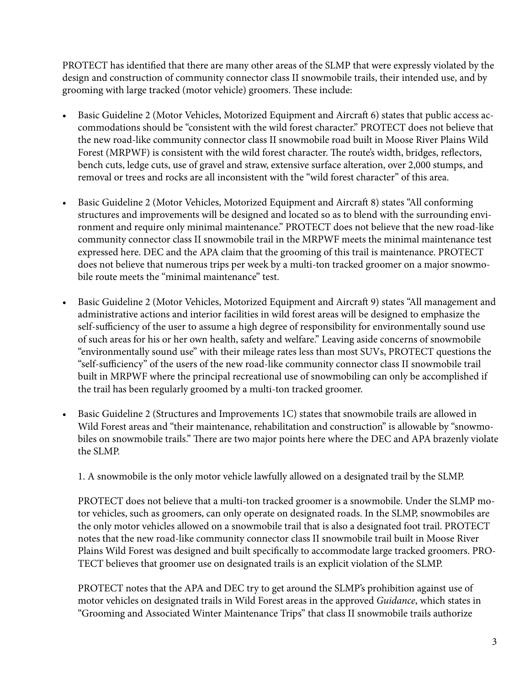PROTECT has identified that there are many other areas of the SLMP that were expressly violated by the design and construction of community connector class II snowmobile trails, their intended use, and by grooming with large tracked (motor vehicle) groomers. These include:

- Basic Guideline 2 (Motor Vehicles, Motorized Equipment and Aircraft 6) states that public access accommodations should be "consistent with the wild forest character." PROTECT does not believe that the new road-like community connector class II snowmobile road built in Moose River Plains Wild Forest (MRPWF) is consistent with the wild forest character. The route's width, bridges, reflectors, bench cuts, ledge cuts, use of gravel and straw, extensive surface alteration, over 2,000 stumps, and removal or trees and rocks are all inconsistent with the "wild forest character" of this area.
- Basic Guideline 2 (Motor Vehicles, Motorized Equipment and Aircraft 8) states "All conforming structures and improvements will be designed and located so as to blend with the surrounding environment and require only minimal maintenance." PROTECT does not believe that the new road-like community connector class II snowmobile trail in the MRPWF meets the minimal maintenance test expressed here. DEC and the APA claim that the grooming of this trail is maintenance. PROTECT does not believe that numerous trips per week by a multi-ton tracked groomer on a major snowmobile route meets the "minimal maintenance" test.
- • Basic Guideline 2 (Motor Vehicles, Motorized Equipment and Aircraft 9) states "All management and administrative actions and interior facilities in wild forest areas will be designed to emphasize the self-sufficiency of the user to assume a high degree of responsibility for environmentally sound use of such areas for his or her own health, safety and welfare." Leaving aside concerns of snowmobile "environmentally sound use" with their mileage rates less than most SUVs, PROTECT questions the "self-sufficiency" of the users of the new road-like community connector class II snowmobile trail built in MRPWF where the principal recreational use of snowmobiling can only be accomplished if the trail has been regularly groomed by a multi-ton tracked groomer.
- • Basic Guideline 2 (Structures and Improvements 1C) states that snowmobile trails are allowed in Wild Forest areas and "their maintenance, rehabilitation and construction" is allowable by "snowmobiles on snowmobile trails." There are two major points here where the DEC and APA brazenly violate the SLMP.

1. A snowmobile is the only motor vehicle lawfully allowed on a designated trail by the SLMP.

PROTECT does not believe that a multi-ton tracked groomer is a snowmobile. Under the SLMP motor vehicles, such as groomers, can only operate on designated roads. In the SLMP, snowmobiles are the only motor vehicles allowed on a snowmobile trail that is also a designated foot trail. PROTECT notes that the new road-like community connector class II snowmobile trail built in Moose River Plains Wild Forest was designed and built specifically to accommodate large tracked groomers. PRO-TECT believes that groomer use on designated trails is an explicit violation of the SLMP.

PROTECT notes that the APA and DEC try to get around the SLMP's prohibition against use of motor vehicles on designated trails in Wild Forest areas in the approved *Guidance*, which states in "Grooming and Associated Winter Maintenance Trips" that class II snowmobile trails authorize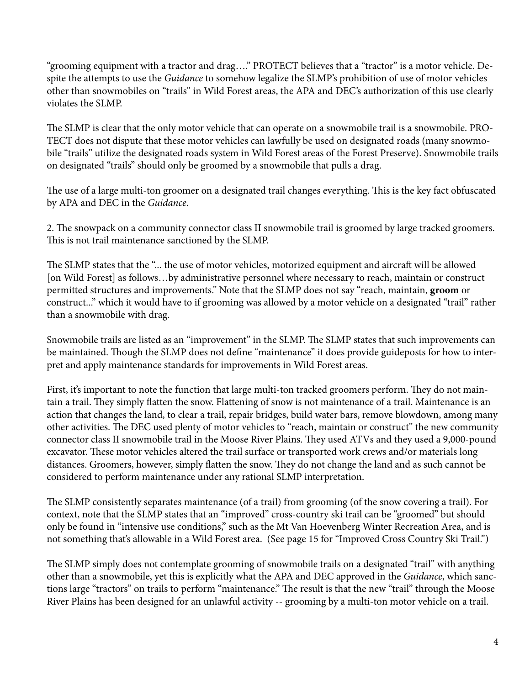"grooming equipment with a tractor and drag…." PROTECT believes that a "tractor" is a motor vehicle. Despite the attempts to use the *Guidance* to somehow legalize the SLMP's prohibition of use of motor vehicles other than snowmobiles on "trails" in Wild Forest areas, the APA and DEC's authorization of this use clearly violates the SLMP.

The SLMP is clear that the only motor vehicle that can operate on a snowmobile trail is a snowmobile. PRO-TECT does not dispute that these motor vehicles can lawfully be used on designated roads (many snowmobile "trails" utilize the designated roads system in Wild Forest areas of the Forest Preserve). Snowmobile trails on designated "trails" should only be groomed by a snowmobile that pulls a drag.

The use of a large multi-ton groomer on a designated trail changes everything. This is the key fact obfuscated by APA and DEC in the *Guidance*.

2. The snowpack on a community connector class II snowmobile trail is groomed by large tracked groomers. This is not trail maintenance sanctioned by the SLMP.

The SLMP states that the "... the use of motor vehicles, motorized equipment and aircraft will be allowed [on Wild Forest] as follows...by administrative personnel where necessary to reach, maintain or construct permitted structures and improvements." Note that the SLMP does not say "reach, maintain, **groom** or construct..." which it would have to if grooming was allowed by a motor vehicle on a designated "trail" rather than a snowmobile with drag.

Snowmobile trails are listed as an "improvement" in the SLMP. The SLMP states that such improvements can be maintained. Though the SLMP does not define "maintenance" it does provide guideposts for how to interpret and apply maintenance standards for improvements in Wild Forest areas.

First, it's important to note the function that large multi-ton tracked groomers perform. They do not maintain a trail. They simply flatten the snow. Flattening of snow is not maintenance of a trail. Maintenance is an action that changes the land, to clear a trail, repair bridges, build water bars, remove blowdown, among many other activities. The DEC used plenty of motor vehicles to "reach, maintain or construct" the new community connector class II snowmobile trail in the Moose River Plains. They used ATVs and they used a 9,000-pound excavator. These motor vehicles altered the trail surface or transported work crews and/or materials long distances. Groomers, however, simply flatten the snow. They do not change the land and as such cannot be considered to perform maintenance under any rational SLMP interpretation.

The SLMP consistently separates maintenance (of a trail) from grooming (of the snow covering a trail). For context, note that the SLMP states that an "improved" cross-country ski trail can be "groomed" but should only be found in "intensive use conditions," such as the Mt Van Hoevenberg Winter Recreation Area, and is not something that's allowable in a Wild Forest area. (See page 15 for "Improved Cross Country Ski Trail.")

The SLMP simply does not contemplate grooming of snowmobile trails on a designated "trail" with anything other than a snowmobile, yet this is explicitly what the APA and DEC approved in the *Guidance*, which sanctions large "tractors" on trails to perform "maintenance." The result is that the new "trail" through the Moose River Plains has been designed for an unlawful activity -- grooming by a multi-ton motor vehicle on a trail.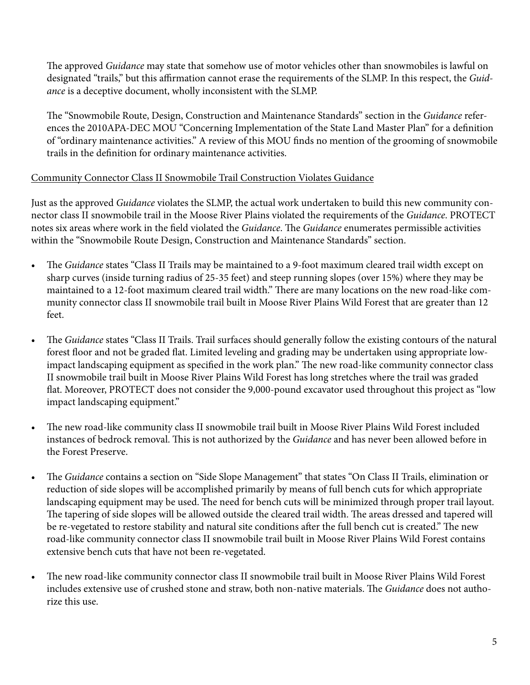The approved *Guidance* may state that somehow use of motor vehicles other than snowmobiles is lawful on designated "trails," but this affirmation cannot erase the requirements of the SLMP. In this respect, the *Guidance* is a deceptive document, wholly inconsistent with the SLMP.

The "Snowmobile Route, Design, Construction and Maintenance Standards" section in the *Guidance* references the 2010APA-DEC MOU "Concerning Implementation of the State Land Master Plan" for a definition of "ordinary maintenance activities." A review of this MOU finds no mention of the grooming of snowmobile trails in the definition for ordinary maintenance activities.

## Community Connector Class II Snowmobile Trail Construction Violates Guidance

Just as the approved *Guidance* violates the SLMP, the actual work undertaken to build this new community connector class II snowmobile trail in the Moose River Plains violated the requirements of the *Guidance*. PROTECT notes six areas where work in the field violated the *Guidance*. The *Guidance* enumerates permissible activities within the "Snowmobile Route Design, Construction and Maintenance Standards" section.

- • The *Guidance* states "Class II Trails may be maintained to a 9-foot maximum cleared trail width except on sharp curves (inside turning radius of 25-35 feet) and steep running slopes (over 15%) where they may be maintained to a 12-foot maximum cleared trail width." There are many locations on the new road-like community connector class II snowmobile trail built in Moose River Plains Wild Forest that are greater than 12 feet.
- The *Guidance* states "Class II Trails. Trail surfaces should generally follow the existing contours of the natural forest floor and not be graded flat. Limited leveling and grading may be undertaken using appropriate lowimpact landscaping equipment as specified in the work plan." The new road-like community connector class II snowmobile trail built in Moose River Plains Wild Forest has long stretches where the trail was graded flat. Moreover, PROTECT does not consider the 9,000-pound excavator used throughout this project as "low impact landscaping equipment."
- The new road-like community class II snowmobile trail built in Moose River Plains Wild Forest included instances of bedrock removal. This is not authorized by the *Guidance* and has never been allowed before in the Forest Preserve.
- The *Guidance* contains a section on "Side Slope Management" that states "On Class II Trails, elimination or reduction of side slopes will be accomplished primarily by means of full bench cuts for which appropriate landscaping equipment may be used. The need for bench cuts will be minimized through proper trail layout. The tapering of side slopes will be allowed outside the cleared trail width. The areas dressed and tapered will be re-vegetated to restore stability and natural site conditions after the full bench cut is created." The new road-like community connector class II snowmobile trail built in Moose River Plains Wild Forest contains extensive bench cuts that have not been re-vegetated.
- The new road-like community connector class II snowmobile trail built in Moose River Plains Wild Forest includes extensive use of crushed stone and straw, both non-native materials. The *Guidance* does not authorize this use.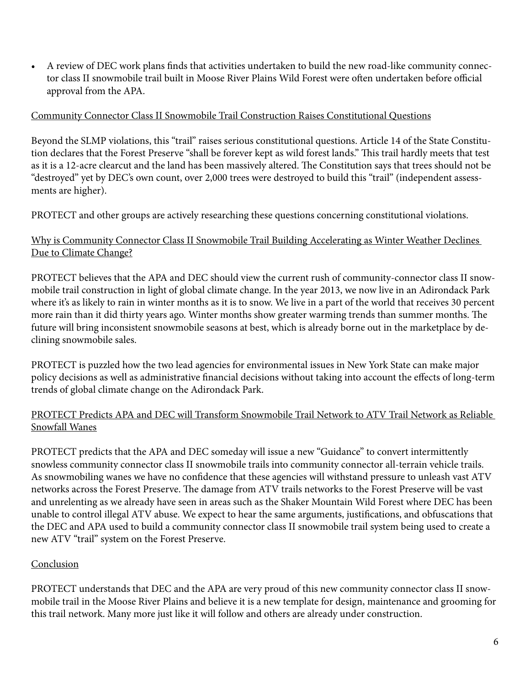• A review of DEC work plans finds that activities undertaken to build the new road-like community connector class II snowmobile trail built in Moose River Plains Wild Forest were often undertaken before official approval from the APA.

### Community Connector Class II Snowmobile Trail Construction Raises Constitutional Questions

Beyond the SLMP violations, this "trail" raises serious constitutional questions. Article 14 of the State Constitution declares that the Forest Preserve "shall be forever kept as wild forest lands." This trail hardly meets that test as it is a 12-acre clearcut and the land has been massively altered. The Constitution says that trees should not be "destroyed" yet by DEC's own count, over 2,000 trees were destroyed to build this "trail" (independent assessments are higher).

PROTECT and other groups are actively researching these questions concerning constitutional violations.

# Why is Community Connector Class II Snowmobile Trail Building Accelerating as Winter Weather Declines Due to Climate Change?

PROTECT believes that the APA and DEC should view the current rush of community-connector class II snowmobile trail construction in light of global climate change. In the year 2013, we now live in an Adirondack Park where it's as likely to rain in winter months as it is to snow. We live in a part of the world that receives 30 percent more rain than it did thirty years ago. Winter months show greater warming trends than summer months. The future will bring inconsistent snowmobile seasons at best, which is already borne out in the marketplace by declining snowmobile sales.

PROTECT is puzzled how the two lead agencies for environmental issues in New York State can make major policy decisions as well as administrative financial decisions without taking into account the effects of long-term trends of global climate change on the Adirondack Park.

## PROTECT Predicts APA and DEC will Transform Snowmobile Trail Network to ATV Trail Network as Reliable Snowfall Wanes

PROTECT predicts that the APA and DEC someday will issue a new "Guidance" to convert intermittently snowless community connector class II snowmobile trails into community connector all-terrain vehicle trails. As snowmobiling wanes we have no confidence that these agencies will withstand pressure to unleash vast ATV networks across the Forest Preserve. The damage from ATV trails networks to the Forest Preserve will be vast and unrelenting as we already have seen in areas such as the Shaker Mountain Wild Forest where DEC has been unable to control illegal ATV abuse. We expect to hear the same arguments, justifications, and obfuscations that the DEC and APA used to build a community connector class II snowmobile trail system being used to create a new ATV "trail" system on the Forest Preserve.

# Conclusion

PROTECT understands that DEC and the APA are very proud of this new community connector class II snowmobile trail in the Moose River Plains and believe it is a new template for design, maintenance and grooming for this trail network. Many more just like it will follow and others are already under construction.